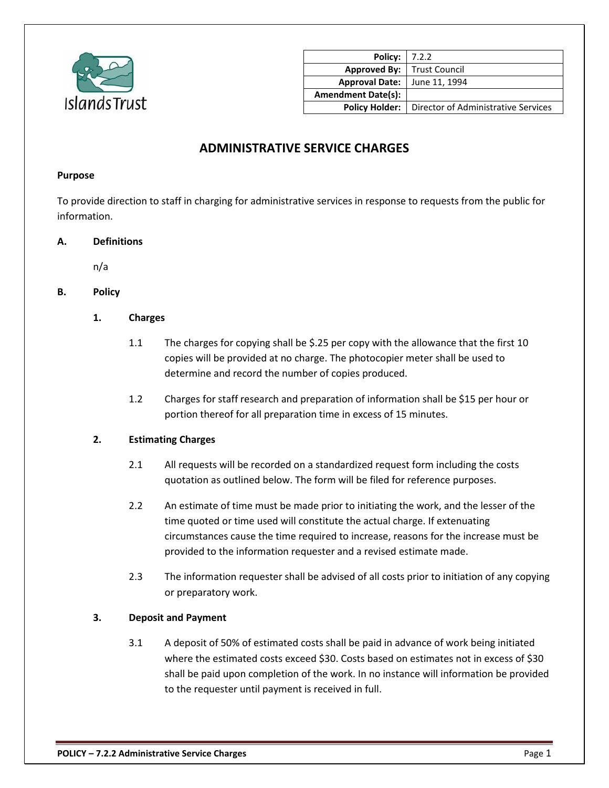

| <b>Policy:</b> 7.2.2                |                                     |
|-------------------------------------|-------------------------------------|
| <b>Approved By:</b>   Trust Council |                                     |
| <b>Approval Date:</b>               | June 11, 1994                       |
| <b>Amendment Date(s):</b>           |                                     |
| <b>Policy Holder:</b>               | Director of Administrative Services |

# **ADMINISTRATIVE SERVICE CHARGES**

#### **Purpose**

To provide direction to staff in charging for administrative services in response to requests from the public for information.

### **A. Definitions**

n/a

# **B. Policy**

### **1. Charges**

- 1.1 The charges for copying shall be \$.25 per copy with the allowance that the first 10 copies will be provided at no charge. The photocopier meter shall be used to determine and record the number of copies produced.
- 1.2 Charges for staff research and preparation of information shall be \$15 per hour or portion thereof for all preparation time in excess of 15 minutes.

#### **2. Estimating Charges**

- 2.1 All requests will be recorded on a standardized request form including the costs quotation as outlined below. The form will be filed for reference purposes.
- 2.2 An estimate of time must be made prior to initiating the work, and the lesser of the time quoted or time used will constitute the actual charge. If extenuating circumstances cause the time required to increase, reasons for the increase must be provided to the information requester and a revised estimate made.
- 2.3 The information requester shall be advised of all costs prior to initiation of any copying or preparatory work.

#### **3. Deposit and Payment**

3.1 A deposit of 50% of estimated costs shall be paid in advance of work being initiated where the estimated costs exceed \$30. Costs based on estimates not in excess of \$30 shall be paid upon completion of the work. In no instance will information be provided to the requester until payment is received in full.